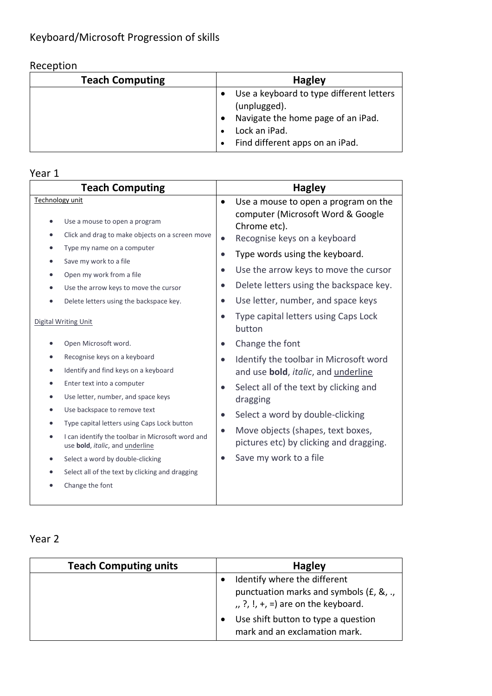## Reception

| <b>Teach Computing</b> | <b>Hagley</b>                                                                                                                                      |
|------------------------|----------------------------------------------------------------------------------------------------------------------------------------------------|
|                        | Use a keyboard to type different letters<br>(unplugged).<br>Navigate the home page of an iPad.<br>Lock an iPad.<br>Find different apps on an iPad. |

## Year 1

|                 | <b>Teach Computing</b>                                                              |           | <b>Hagley</b>                                                             |
|-----------------|-------------------------------------------------------------------------------------|-----------|---------------------------------------------------------------------------|
| Technology unit |                                                                                     |           | Use a mouse to open a program on the<br>computer (Microsoft Word & Google |
| $\bullet$       | Use a mouse to open a program                                                       |           | Chrome etc).                                                              |
| $\bullet$       | Click and drag to make objects on a screen move                                     |           | Recognise keys on a keyboard                                              |
| $\bullet$       | Type my name on a computer                                                          | $\bullet$ | Type words using the keyboard.                                            |
| $\bullet$       | Save my work to a file                                                              | $\bullet$ |                                                                           |
| $\bullet$       | Open my work from a file                                                            |           | Use the arrow keys to move the cursor                                     |
| $\bullet$       | Use the arrow keys to move the cursor                                               | $\bullet$ | Delete letters using the backspace key.                                   |
|                 | Delete letters using the backspace key.                                             |           | Use letter, number, and space keys                                        |
|                 | Digital Writing Unit                                                                |           | Type capital letters using Caps Lock<br>button                            |
|                 | Open Microsoft word.                                                                | $\bullet$ | Change the font                                                           |
| $\bullet$       | Recognise keys on a keyboard                                                        |           | Identify the toolbar in Microsoft word                                    |
| $\bullet$       | Identify and find keys on a keyboard                                                |           | and use <b>bold</b> , <i>italic</i> , and <i>underline</i>                |
| $\bullet$       | Enter text into a computer                                                          |           | Select all of the text by clicking and                                    |
| $\bullet$       | Use letter, number, and space keys                                                  |           | dragging                                                                  |
|                 | Use backspace to remove text                                                        | $\bullet$ | Select a word by double-clicking                                          |
|                 | Type capital letters using Caps Lock button                                         |           | Move objects (shapes, text boxes,                                         |
| $\bullet$       | I can identify the toolbar in Microsoft word and<br>use bold, italic, and underline |           | pictures etc) by clicking and dragging.                                   |
| $\bullet$       | Select a word by double-clicking                                                    |           | Save my work to a file                                                    |
|                 | Select all of the text by clicking and dragging                                     |           |                                                                           |
|                 | Change the font                                                                     |           |                                                                           |
|                 |                                                                                     |           |                                                                           |

#### Year 2

| <b>Teach Computing units</b> | <b>Hagley</b>                                                                                                  |
|------------------------------|----------------------------------------------------------------------------------------------------------------|
|                              | Identify where the different<br>punctuation marks and symbols (£, &, .,<br>$, 2, 1, +, =$ are on the keyboard. |
|                              | Use shift button to type a question<br>mark and an exclamation mark.                                           |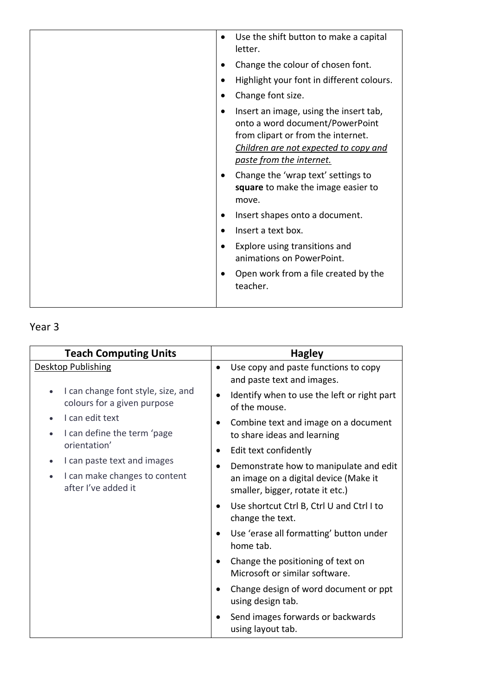| Use the shift button to make a capital<br>letter.                                                                                                                                    |
|--------------------------------------------------------------------------------------------------------------------------------------------------------------------------------------|
| Change the colour of chosen font.                                                                                                                                                    |
| Highlight your font in different colours.                                                                                                                                            |
| Change font size.                                                                                                                                                                    |
| Insert an image, using the insert tab,<br>onto a word document/PowerPoint<br>from clipart or from the internet.<br>Children are not expected to copy and<br>paste from the internet. |
| Change the 'wrap text' settings to<br>square to make the image easier to<br>move.                                                                                                    |
| Insert shapes onto a document.                                                                                                                                                       |
| Insert a text box.                                                                                                                                                                   |
| Explore using transitions and<br>animations on PowerPoint.                                                                                                                           |
| Open work from a file created by the<br>teacher.                                                                                                                                     |
|                                                                                                                                                                                      |

# Year 3

| <b>Teach Computing Units</b>                                      | <b>Hagley</b>                                                                                     |
|-------------------------------------------------------------------|---------------------------------------------------------------------------------------------------|
| <b>Desktop Publishing</b>                                         | Use copy and paste functions to copy<br>and paste text and images.                                |
| I can change font style, size, and<br>colours for a given purpose | Identify when to use the left or right part<br>of the mouse.                                      |
| I can edit text<br>I can define the term 'page                    | Combine text and image on a document<br>to share ideas and learning                               |
| orientation'                                                      | Edit text confidently<br>٠                                                                        |
| I can paste text and images<br>I can make changes to content      | Demonstrate how to manipulate and edit<br>an image on a digital device (Make it                   |
| after I've added it                                               | smaller, bigger, rotate it etc.)<br>Use shortcut Ctrl B, Ctrl U and Ctrl I to<br>change the text. |
|                                                                   | Use 'erase all formatting' button under<br>home tab.                                              |
|                                                                   | Change the positioning of text on<br>Microsoft or similar software.                               |
|                                                                   | Change design of word document or ppt<br>using design tab.                                        |
|                                                                   | Send images forwards or backwards<br>using layout tab.                                            |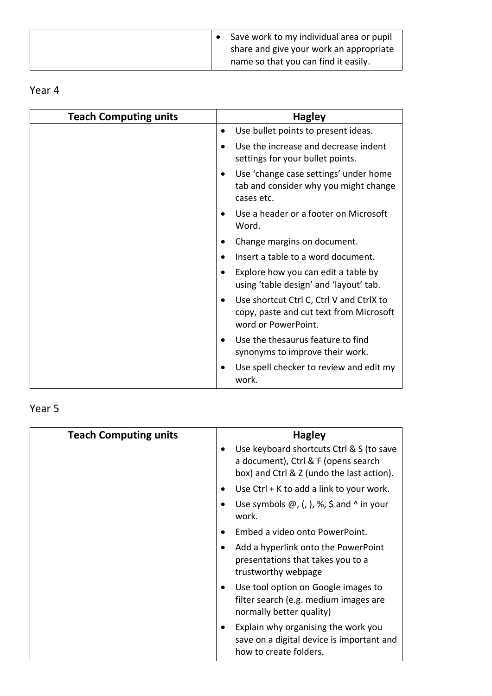|  | Save work to my individual area or pupil |
|--|------------------------------------------|
|  | share and give your work an appropriate  |
|  | name so that you can find it easily.     |

## Year 4

| <b>Teach Computing units</b> | <b>Hagley</b>                                                                                              |
|------------------------------|------------------------------------------------------------------------------------------------------------|
|                              | Use bullet points to present ideas.                                                                        |
|                              | Use the increase and decrease indent<br>settings for your bullet points.                                   |
|                              | Use 'change case settings' under home<br>tab and consider why you might change<br>cases etc.               |
|                              | Use a header or a footer on Microsoft<br>Word.                                                             |
|                              | Change margins on document.                                                                                |
|                              | Insert a table to a word document.                                                                         |
|                              | Explore how you can edit a table by<br>using 'table design' and 'layout' tab.                              |
|                              | Use shortcut Ctrl C, Ctrl V and CtrlX to<br>copy, paste and cut text from Microsoft<br>word or PowerPoint. |
|                              | Use the thesaurus feature to find<br>synonyms to improve their work.                                       |
|                              | Use spell checker to review and edit my<br>work.                                                           |

## Year 5

| <b>Teach Computing units</b> | <b>Hagley</b>                                                                                                                |
|------------------------------|------------------------------------------------------------------------------------------------------------------------------|
|                              | Use keyboard shortcuts Ctrl & S (to save<br>a document), Ctrl & F (opens search<br>box) and Ctrl & Z (undo the last action). |
|                              | Use Ctrl + K to add a link to your work.                                                                                     |
|                              | Use symbols $\omega$ , (, ), %, \$ and ^ in your<br>work.                                                                    |
|                              | Embed a video onto PowerPoint.                                                                                               |
|                              | Add a hyperlink onto the PowerPoint<br>presentations that takes you to a<br>trustworthy webpage                              |
|                              | Use tool option on Google images to<br>filter search (e.g. medium images are<br>normally better quality)                     |
|                              | Explain why organising the work you<br>save on a digital device is important and<br>how to create folders.                   |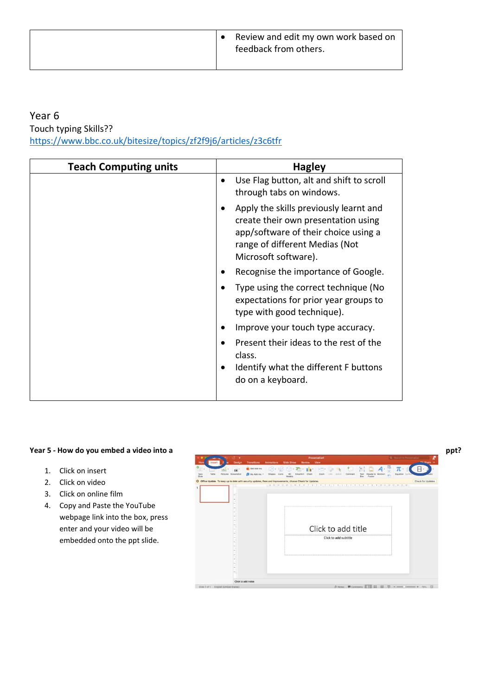#### Year 6

Touch typing Skills??

<https://www.bbc.co.uk/bitesize/topics/zf2f9j6/articles/z3c6tfr>

| Use Flag button, alt and shift to scroll<br>$\bullet$<br>through tabs on windows.                                                                                               |
|---------------------------------------------------------------------------------------------------------------------------------------------------------------------------------|
| Apply the skills previously learnt and<br>create their own presentation using<br>app/software of their choice using a<br>range of different Medias (Not<br>Microsoft software). |
| Recognise the importance of Google.                                                                                                                                             |
| Type using the correct technique (No<br>expectations for prior year groups to<br>type with good technique).                                                                     |
| Improve your touch type accuracy.                                                                                                                                               |
| Present their ideas to the rest of the<br>class.<br>Identify what the different F buttons<br>do on a keyboard.                                                                  |

- 1. Click on insert
- 2. Click on video
- 3. Click on online film
- 4. Copy and Paste the YouTube webpage link into the box, press enter and your video will be embedded onto the ppt slide.